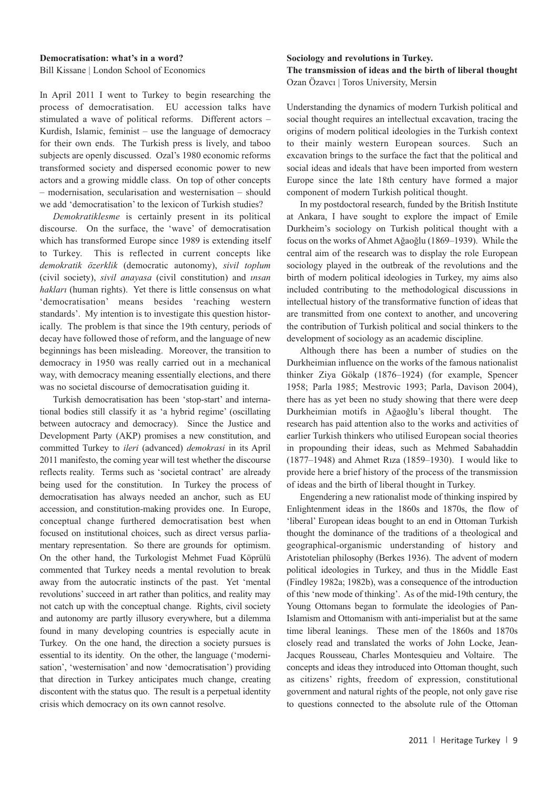### **Democratisation: what's in a word?**

Bill Kissane | London School of Economics

In April 2011 I went to Turkey to begin researching the process of democratisation. EU accession talks have stimulated a wave of political reforms. Different actors – Kurdish, Islamic, feminist – use the language of democracy for their own ends. The Turkish press is lively, and taboo subjects are openly discussed. Ozal's 1980 economic reforms transformed society and dispersed economic power to new actors and a growing middle class. On top of other concepts – modernisation, secularisation and westernisation – should we add 'democratisation' to the lexicon of Turkish studies?

*Demokratiklesme* is certainly present in its political discourse. On the surface, the 'wave' of democratisation which has transformed Europe since 1989 is extending itself to Turkey. This is reflected in current concepts like *demokratik özerklik* (democratic autonomy), *sivil toplum* (civil society), *sivil anayasa* (civil constitution) and *ınsan hakları* (human rights). Yet there is little consensus on what 'democratisation' means besides 'reaching western standards'. My intention is to investigate this question historically. The problem is that since the 19th century, periods of decay have followed those of reform, and the language of new beginnings has been misleading. Moreover, the transition to democracy in 1950 was really carried out in a mechanical way, with democracy meaning essentially elections, and there was no societal discourse of democratisation guiding it.

Turkish democratisation has been 'stop-start' and international bodies still classify it as 'a hybrid regime' (oscillating between autocracy and democracy). Since the Justice and Development Party (AKP) promises a new constitution, and committed Turkey to *ileri* (advanced) *demokrasi* in its April 2011 manifesto, the coming year will test whether the discourse reflects reality. Terms such as 'societal contract' are already being used for the constitution. In Turkey the process of democratisation has always needed an anchor, such as EU accession, and constitution-making provides one. In Europe, conceptual change furthered democratisation best when focused on institutional choices, such as direct versus parliamentary representation. So there are grounds for optimism. On the other hand, the Turkologist Mehmet Fuad Köprülü commented that Turkey needs a mental revolution to break away from the autocratic instincts of the past. Yet 'mental revolutions' succeed in art rather than politics, and reality may not catch up with the conceptual change. Rights, civil society and autonomy are partly illusory everywhere, but a dilemma found in many developing countries is especially acute in Turkey. On the one hand, the direction a society pursues is essential to its identity. On the other, the language ('modernisation', 'westernisation' and now 'democratisation') providing that direction in Turkey anticipates much change, creating discontent with the status quo. The result is a perpetual identity crisis which democracy on its own cannot resolve.

### **Sociology and revolutions in Turkey.**

# **The transmission of ideas and the birth of liberal thought** Ozan Özavcı | Toros University, Mersin

Understanding the dynamics of modern Turkish political and social thought requires an intellectual excavation, tracing the origins of modern political ideologies in the Turkish context to their mainly western European sources. Such an excavation brings to the surface the fact that the political and social ideas and ideals that have been imported from western Europe since the late 18th century have formed a major component of modern Turkish political thought.

In my postdoctoral research, funded by the British Institute at Ankara, I have sought to explore the impact of Emile Durkheim's sociology on Turkish political thought with a focus on the works of Ahmet Ağaoğlu (1869–1939). While the central aim of the research was to display the role European sociology played in the outbreak of the revolutions and the birth of modern political ideologies in Turkey, my aims also included contributing to the methodological discussions in intellectual history of the transformative function of ideas that are transmitted from one context to another, and uncovering the contribution of Turkish political and social thinkers to the development of sociology as an academic discipline.

Although there has been a number of studies on the Durkheimian influence on the works of the famous nationalist thinker Ziya Gökalp (1876–1924) (for example, Spencer 1958; Parla 1985; Mestrovic 1993; Parla, Davison 2004), there has as yet been no study showing that there were deep Durkheimian motifs in Ağaoğlu's liberal thought. The research has paid attention also to the works and activities of earlier Turkish thinkers who utilised European social theories in propounding their ideas, such as Mehmed Sabahaddin (1877–1948) and Ahmet Rıza (1859–1930). I would like to provide here a brief history of the process of the transmission of ideas and the birth of liberal thought in Turkey.

Engendering a new rationalist mode of thinking inspired by Enlightenment ideas in the 1860s and 1870s, the flow of 'liberal' European ideas bought to an end in Ottoman Turkish thought the dominance of the traditions of a theological and geographical-organismic understanding of history and Aristotelian philosophy (Berkes 1936). The advent of modern political ideologies in Turkey, and thus in the Middle East (Findley 1982a; 1982b), was a consequence of the introduction of this 'new mode of thinking'. As of the mid-19th century, the Young Ottomans began to formulate the ideologies of Pan-Islamism and Ottomanism with anti-imperialist but at the same time liberal leanings. These men of the 1860s and 1870s closely read and translated the works of John Locke, Jean-Jacques Rousseau, Charles Montesquieu and Voltaire. The concepts and ideas they introduced into Ottoman thought, such as citizens' rights, freedom of expression, constitutional government and natural rights of the people, not only gave rise to questions connected to the absolute rule of the Ottoman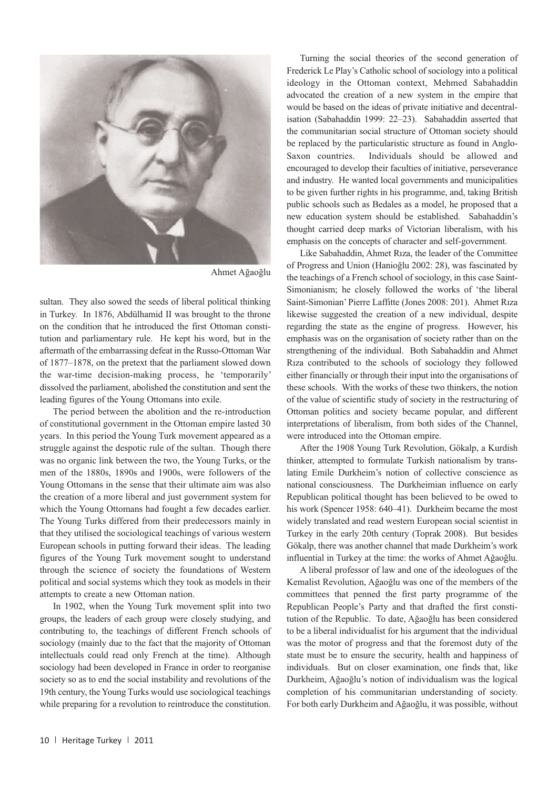

Ahmet Ağaoğlu

sultan. They also sowed the seeds of liberal political thinking in Turkey. In 1876, Abdülhamid II was brought to the throne on the condition that he introduced the first Ottoman constitution and parliamentary rule. He kept his word, but in the aftermath of the embarrassing defeat in the Russo-Ottoman War of 1877–1878, on the pretext that the parliament slowed down the war-time decision-making process, he 'temporarily' dissolved the parliament, abolished the constitution and sent the leading figures of the Young Ottomans into exile.

The period between the abolition and the re-introduction of constitutional government in the Ottoman empire lasted 30 years. In this period the Young Turk movement appeared as a struggle against the despotic rule of the sultan. Though there was no organic link between the two, the Young Turks, or the men of the 1880s, 1890s and 1900s, were followers of the Young Ottomans in the sense that their ultimate aim was also the creation of a more liberal and just government system for which the Young Ottomans had fought a few decades earlier. The Young Turks differed from their predecessors mainly in that they utilised the sociological teachings of various western European schools in putting forward their ideas. The leading figures of the Young Turk movement sought to understand through the science of society the foundations of Western political and social systems which they took as models in their attempts to create a new Ottoman nation.

In 1902, when the Young Turk movement split into two groups, the leaders of each group were closely studying, and contributing to, the teachings of different French schools of sociology (mainly due to the fact that the majority of Ottoman intellectuals could read only French at the time). Although sociology had been developed in France in order to reorganise society so as to end the social instability and revolutions of the 19th century, the Young Turks would use sociological teachings while preparing for a revolution to reintroduce the constitution.

Turning the social theories of the second generation of Frederick Le Play's Catholic school of sociology into a political ideology in the Ottoman context, Mehmed Sabahaddin advocated the creation of a new system in the empire that would be based on the ideas of private initiative and decentralisation (Sabahaddin 1999: 22–23). Sabahaddin asserted that the communitarian social structure of Ottoman society should be replaced by the particularistic structure as found in Anglo-Saxon countries. Individuals should be allowed and encouraged to develop their faculties of initiative, perseverance and industry. He wanted local governments and municipalities to be given further rights in his programme, and, taking British public schools such as Bedales as a model, he proposed that a new education system should be established. Sabahaddin's thought carried deep marks of Victorian liberalism, with his emphasis on the concepts of character and self-government.

Like Sabahaddin, Ahmet Rıza, the leader of the Committee of Progress and Union (Hanioğlu 2002: 28), was fascinated by the teachings of a French school of sociology, in this case Saint-Simonianism; he closely followed the works of 'the liberal Saint-Simonian' Pierre Laffitte (Jones 2008: 201). Ahmet Rıza likewise suggested the creation of a new individual, despite regarding the state as the engine of progress. However, his emphasis was on the organisation of society rather than on the strengthening of the individual. Both Sabahaddin and Ahmet Rıza contributed to the schools of sociology they followed either financially or through their input into the organisations of these schools. With the works of these two thinkers, the notion of the value of scientific study of society in the restructuring of Ottoman politics and society became popular, and different interpretations of liberalism, from both sides of the Channel, were introduced into the Ottoman empire.

After the 1908 Young Turk Revolution, Gökalp, a Kurdish thinker, attempted to formulate Turkish nationalism by translating Emile Durkheim's notion of collective conscience as national consciousness. The Durkheimian influence on early Republican political thought has been believed to be owed to his work (Spencer 1958: 640–41). Durkheim became the most widely translated and read western European social scientist in Turkey in the early 20th century (Toprak 2008). But besides Gökalp, there was another channel that made Durkheim's work influential in Turkey at the time: the works of Ahmet Ağaoğlu.

A liberal professor of law and one of the ideologues of the Kemalist Revolution, Ağaoğlu was one of the members of the committees that penned the first party programme of the Republican People's Party and that drafted the first constitution of the Republic. To date, Ağaoğlu has been considered to be a liberal individualist for his argument that the individual was the motor of progress and that the foremost duty of the state must be to ensure the security, health and happiness of individuals. But on closer examination, one finds that, like Durkheim, Ağaoğlu's notion of individualism was the logical completion of his communitarian understanding of society. For both early Durkheim and Ağaoğlu, it was possible, without